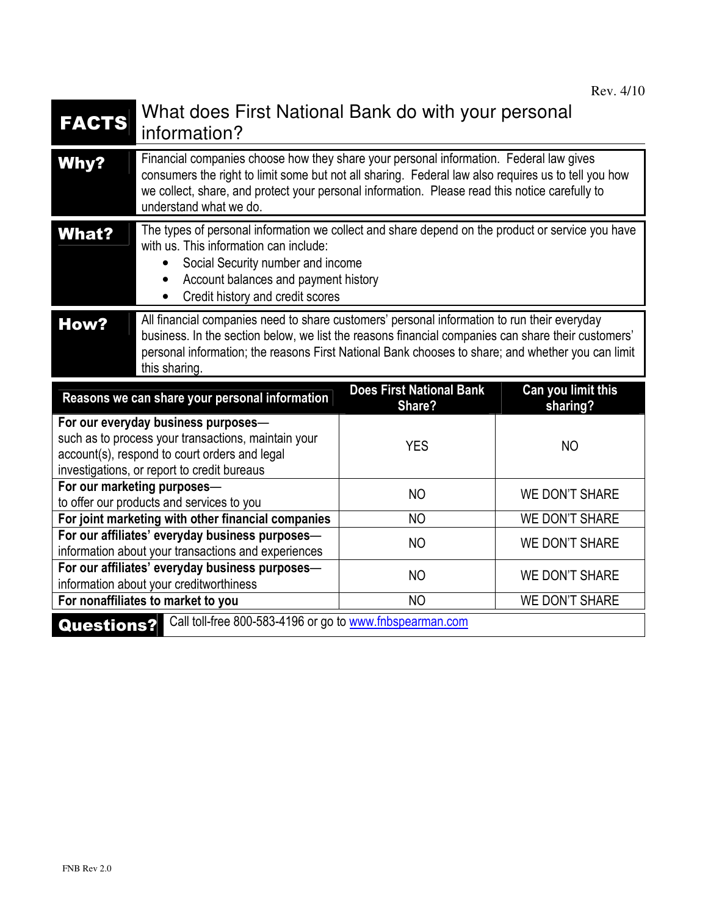| <b>FACTS</b>                                                                                                                                                                                                                                                                             | What does First National Bank do with your personal<br>information?                                                                                                                                                                                                                                                       |                                           |                                |
|------------------------------------------------------------------------------------------------------------------------------------------------------------------------------------------------------------------------------------------------------------------------------------------|---------------------------------------------------------------------------------------------------------------------------------------------------------------------------------------------------------------------------------------------------------------------------------------------------------------------------|-------------------------------------------|--------------------------------|
| <b>Why?</b>                                                                                                                                                                                                                                                                              | Financial companies choose how they share your personal information. Federal law gives<br>consumers the right to limit some but not all sharing. Federal law also requires us to tell you how<br>we collect, share, and protect your personal information. Please read this notice carefully to<br>understand what we do. |                                           |                                |
| The types of personal information we collect and share depend on the product or service you have<br><b>What?</b><br>with us. This information can include:<br>Social Security number and income<br>$\bullet$<br>Account balances and payment history<br>Credit history and credit scores |                                                                                                                                                                                                                                                                                                                           |                                           |                                |
| <b>How?</b>                                                                                                                                                                                                                                                                              | All financial companies need to share customers' personal information to run their everyday<br>business. In the section below, we list the reasons financial companies can share their customers'<br>personal information; the reasons First National Bank chooses to share; and whether you can limit<br>this sharing.   |                                           |                                |
|                                                                                                                                                                                                                                                                                          | Reasons we can share your personal information                                                                                                                                                                                                                                                                            | <b>Does First National Bank</b><br>Share? | Can you limit this<br>sharing? |
| For our everyday business purposes-<br>such as to process your transactions, maintain your<br>account(s), respond to court orders and legal<br>investigations, or report to credit bureaus                                                                                               |                                                                                                                                                                                                                                                                                                                           | <b>YES</b>                                | <b>NO</b>                      |
| For our marketing purposes-<br>to offer our products and services to you                                                                                                                                                                                                                 |                                                                                                                                                                                                                                                                                                                           | <b>NO</b>                                 | <b>WE DON'T SHARE</b>          |
| For joint marketing with other financial companies                                                                                                                                                                                                                                       |                                                                                                                                                                                                                                                                                                                           | <b>NO</b>                                 | <b>WE DON'T SHARE</b>          |
| For our affiliates' everyday business purposes-<br>information about your transactions and experiences                                                                                                                                                                                   |                                                                                                                                                                                                                                                                                                                           | <b>NO</b>                                 | <b>WE DON'T SHARE</b>          |
| For our affiliates' everyday business purposes-<br>information about your creditworthiness                                                                                                                                                                                               |                                                                                                                                                                                                                                                                                                                           | <b>NO</b>                                 | <b>WE DON'T SHARE</b>          |
| For nonaffiliates to market to you                                                                                                                                                                                                                                                       |                                                                                                                                                                                                                                                                                                                           | <b>NO</b>                                 | <b>WE DON'T SHARE</b>          |
| Call toll-free 800-583-4196 or go to www.fnbspearman.com<br><b>Questions?</b>                                                                                                                                                                                                            |                                                                                                                                                                                                                                                                                                                           |                                           |                                |